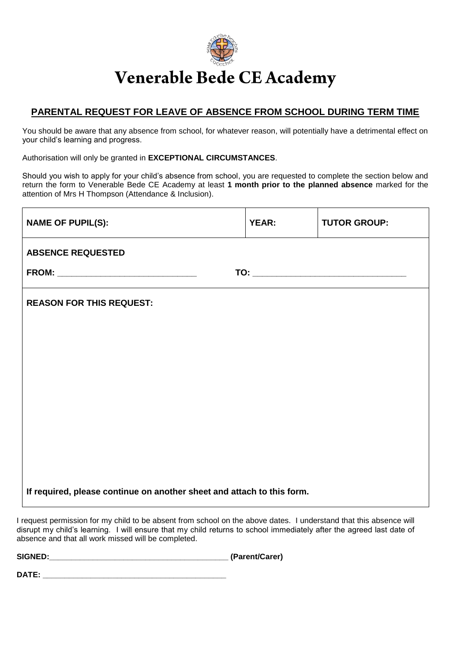

## Venerable Bede CE Academy

## **PARENTAL REQUEST FOR LEAVE OF ABSENCE FROM SCHOOL DURING TERM TIME**

You should be aware that any absence from school, for whatever reason, will potentially have a detrimental effect on your child's learning and progress.

Authorisation will only be granted in **EXCEPTIONAL CIRCUMSTANCES**.

Should you wish to apply for your child's absence from school, you are requested to complete the section below and return the form to Venerable Bede CE Academy at least **1 month prior to the planned absence** marked for the attention of Mrs H Thompson (Attendance & Inclusion).

| <b>NAME OF PUPIL(S):</b>                                               | <b>YEAR:</b> | <b>TUTOR GROUP:</b> |  |  |  |
|------------------------------------------------------------------------|--------------|---------------------|--|--|--|
| <b>ABSENCE REQUESTED</b>                                               |              |                     |  |  |  |
|                                                                        |              |                     |  |  |  |
| <b>REASON FOR THIS REQUEST:</b>                                        |              |                     |  |  |  |
|                                                                        |              |                     |  |  |  |
|                                                                        |              |                     |  |  |  |
|                                                                        |              |                     |  |  |  |
|                                                                        |              |                     |  |  |  |
|                                                                        |              |                     |  |  |  |
|                                                                        |              |                     |  |  |  |
|                                                                        |              |                     |  |  |  |
| If required, please continue on another sheet and attach to this form. |              |                     |  |  |  |

I request permission for my child to be absent from school on the above dates. I understand that this absence will disrupt my child's learning. I will ensure that my child returns to school immediately after the agreed last date of absence and that all work missed will be completed.

**SIGNED:\_\_\_\_\_\_\_\_\_\_\_\_\_\_\_\_\_\_\_\_\_\_\_\_\_\_\_\_\_\_\_\_\_\_\_\_\_\_\_\_\_ (Parent/Carer)**

**DATE:**  $\blacksquare$